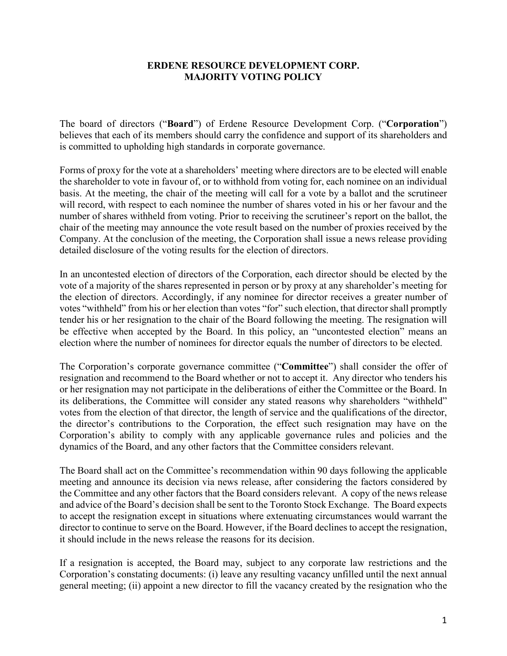## **ERDENE RESOURCE DEVELOPMENT CORP. MAJORITY VOTING POLICY**

The board of directors ("**Board**") of Erdene Resource Development Corp. ("**Corporation**") believes that each of its members should carry the confidence and support of its shareholders and is committed to upholding high standards in corporate governance.

Forms of proxy for the vote at a shareholders' meeting where directors are to be elected will enable the shareholder to vote in favour of, or to withhold from voting for, each nominee on an individual basis. At the meeting, the chair of the meeting will call for a vote by a ballot and the scrutineer will record, with respect to each nominee the number of shares voted in his or her favour and the number of shares withheld from voting. Prior to receiving the scrutineer's report on the ballot, the chair of the meeting may announce the vote result based on the number of proxies received by the Company. At the conclusion of the meeting, the Corporation shall issue a news release providing detailed disclosure of the voting results for the election of directors.

In an uncontested election of directors of the Corporation, each director should be elected by the vote of a majority of the shares represented in person or by proxy at any shareholder's meeting for the election of directors. Accordingly, if any nominee for director receives a greater number of votes "withheld" from his or her election than votes "for" such election, that director shall promptly tender his or her resignation to the chair of the Board following the meeting. The resignation will be effective when accepted by the Board. In this policy, an "uncontested election" means an election where the number of nominees for director equals the number of directors to be elected.

The Corporation's corporate governance committee ("**Committee**") shall consider the offer of resignation and recommend to the Board whether or not to accept it. Any director who tenders his or her resignation may not participate in the deliberations of either the Committee or the Board. In its deliberations, the Committee will consider any stated reasons why shareholders "withheld" votes from the election of that director, the length of service and the qualifications of the director, the director's contributions to the Corporation, the effect such resignation may have on the Corporation's ability to comply with any applicable governance rules and policies and the dynamics of the Board, and any other factors that the Committee considers relevant.

The Board shall act on the Committee's recommendation within 90 days following the applicable meeting and announce its decision via news release, after considering the factors considered by the Committee and any other factors that the Board considers relevant. A copy of the news release and advice of the Board's decision shall be sent to the Toronto Stock Exchange. The Board expects to accept the resignation except in situations where extenuating circumstances would warrant the director to continue to serve on the Board. However, if the Board declines to accept the resignation, it should include in the news release the reasons for its decision.

If a resignation is accepted, the Board may, subject to any corporate law restrictions and the Corporation's constating documents: (i) leave any resulting vacancy unfilled until the next annual general meeting; (ii) appoint a new director to fill the vacancy created by the resignation who the